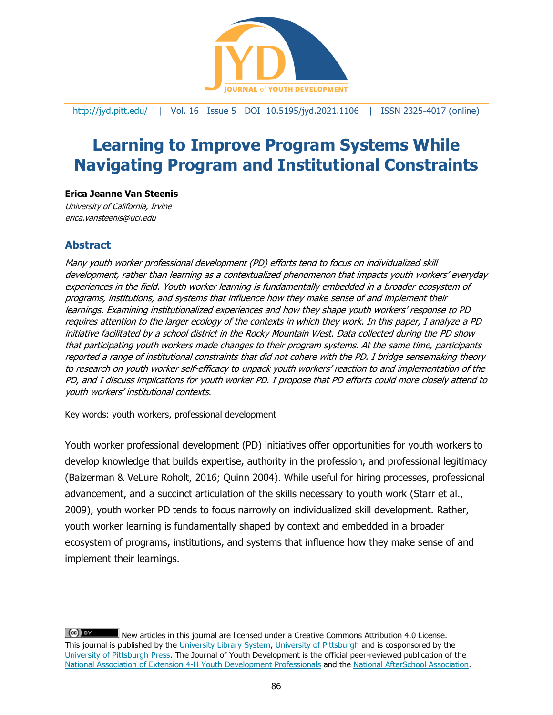

<http://jyd.pitt.edu/> | Vol. 16 Issue 5 DOI 10.5195/jyd.2021.1106 | ISSN 2325-4017 (online)

# **Learning to Improve Program Systems While Navigating Program and Institutional Constraints**

#### **Erica Jeanne Van Steenis**

University of California, Irvine erica.vansteenis@uci.edu

# **Abstract**

Many youth worker professional development (PD) efforts tend to focus on individualized skill development, rather than learning as a contextualized phenomenon that impacts youth workers' everyday experiences in the field. Youth worker learning is fundamentally embedded in a broader ecosystem of programs, institutions, and systems that influence how they make sense of and implement their learnings. Examining institutionalized experiences and how they shape youth workers' response to PD requires attention to the larger ecology of the contexts in which they work. In this paper, I analyze a PD initiative facilitated by a school district in the Rocky Mountain West. Data collected during the PD show that participating youth workers made changes to their program systems. At the same time, participants reported a range of institutional constraints that did not cohere with the PD. I bridge sensemaking theory to research on youth worker self-efficacy to unpack youth workers' reaction to and implementation of the PD, and I discuss implications for youth worker PD. I propose that PD efforts could more closely attend to youth workers' institutional contexts.

Key words: youth workers, professional development

Youth worker professional development (PD) initiatives offer opportunities for youth workers to develop knowledge that builds expertise, authority in the profession, and professional legitimacy (Baizerman & VeLure Roholt, 2016; Quinn 2004). While useful for hiring processes, professional advancement, and a succinct articulation of the skills necessary to youth work (Starr et al., 2009), youth worker PD tends to focus narrowly on individualized skill development. Rather, youth worker learning is fundamentally shaped by context and embedded in a broader ecosystem of programs, institutions, and systems that influence how they make sense of and implement their learnings.

 $(cc)$  By New articles in this journal are licensed under a Creative Commons Attribution 4.0 License. This journal is published by the [University Library System,](http://www.library.pitt.edu/) [University of Pittsburgh](http://www.pitt.edu/) and is cosponsored by the [University of Pittsburgh Press.](http://www.upress.pitt.edu/upressIndex.aspx) The Journal of Youth Development is the official peer-reviewed publication of the [National Association of Extension 4-H Youth Development Professionals](http://www.nae4ha.com/) and the [National AfterSchool Association.](http://naaweb.org/)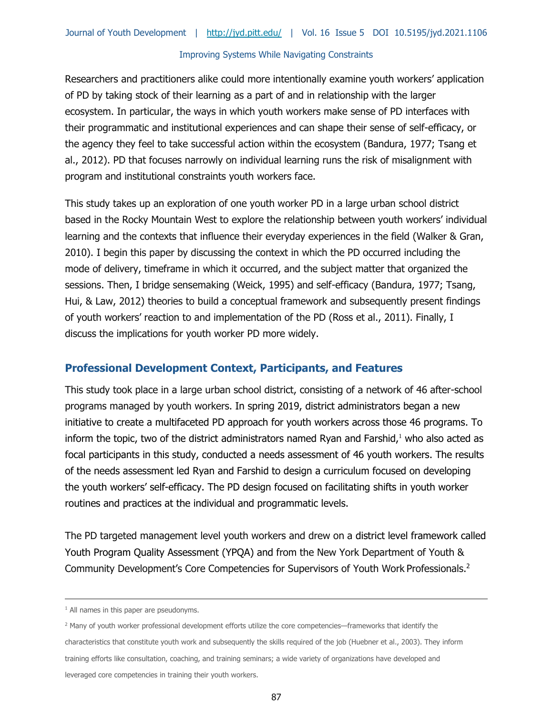Researchers and practitioners alike could more intentionally examine youth workers' application of PD by taking stock of their learning as a part of and in relationship with the larger ecosystem. In particular, the ways in which youth workers make sense of PD interfaces with their programmatic and institutional experiences and can shape their sense of self-efficacy, or the agency they feel to take successful action within the ecosystem (Bandura, 1977; Tsang et al., 2012). PD that focuses narrowly on individual learning runs the risk of misalignment with program and institutional constraints youth workers face.

This study takes up an exploration of one youth worker PD in a large urban school district based in the Rocky Mountain West to explore the relationship between youth workers' individual learning and the contexts that influence their everyday experiences in the field (Walker & Gran, 2010). I begin this paper by discussing the context in which the PD occurred including the mode of delivery, timeframe in which it occurred, and the subject matter that organized the sessions. Then, I bridge sensemaking (Weick, 1995) and self-efficacy (Bandura, 1977; Tsang, Hui, & Law, 2012) theories to build a conceptual framework and subsequently present findings of youth workers' reaction to and implementation of the PD (Ross et al., 2011). Finally, I discuss the implications for youth worker PD more widely.

# **Professional Development Context, Participants, and Features**

This study took place in a large urban school district, consisting of a network of 46 after-school programs managed by youth workers. In spring 2019, district administrators began a new initiative to create a multifaceted PD approach for youth workers across those 46 programs. To inform the topic, two of the district administrators named Ryan and Farshid, $1$  who also acted as focal participants in this study, conducted a needs assessment of 46 youth workers. The results of the needs assessment led Ryan and Farshid to design a curriculum focused on developing the youth workers' self-efficacy. The PD design focused on facilitating shifts in youth worker routines and practices at the individual and programmatic levels.

The PD targeted management level youth workers and drew on a district level framework called Youth Program Quality Assessment (YPQA) and from the New York Department of Youth & Community Development's Core Competencies for Supervisors of Youth Work Professionals.<sup>2</sup>

 $<sup>1</sup>$  All names in this paper are pseudonyms.</sup>

<sup>&</sup>lt;sup>2</sup> Many of youth worker professional development efforts utilize the core competencies—frameworks that identify the characteristics that constitute youth work and subsequently the skills required of the job (Huebner et al., 2003). They inform training efforts like consultation, coaching, and training seminars; a wide variety of organizations have developed and leveraged core competencies in training their youth workers.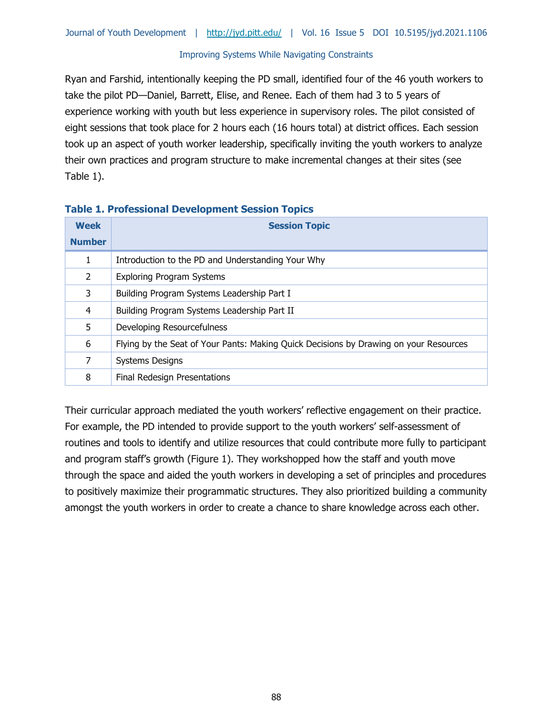Ryan and Farshid, intentionally keeping the PD small, identified four of the 46 youth workers to take the pilot PD—Daniel, Barrett, Elise, and Renee. Each of them had 3 to 5 years of experience working with youth but less experience in supervisory roles. The pilot consisted of eight sessions that took place for 2 hours each (16 hours total) at district offices. Each session took up an aspect of youth worker leadership, specifically inviting the youth workers to analyze their own practices and program structure to make incremental changes at their sites (see Table 1).

| <b>Week</b>   | <b>Session Topic</b>                                                                  |  |  |
|---------------|---------------------------------------------------------------------------------------|--|--|
| <b>Number</b> |                                                                                       |  |  |
|               | Introduction to the PD and Understanding Your Why                                     |  |  |
| 2             | <b>Exploring Program Systems</b>                                                      |  |  |
| 3             | Building Program Systems Leadership Part I                                            |  |  |
| 4             | Building Program Systems Leadership Part II                                           |  |  |
| 5             | Developing Resourcefulness                                                            |  |  |
| 6             | Flying by the Seat of Your Pants: Making Quick Decisions by Drawing on your Resources |  |  |
| 7             | <b>Systems Designs</b>                                                                |  |  |
| 8             | Final Redesign Presentations                                                          |  |  |

#### **Table 1. Professional Development Session Topics**

Their curricular approach mediated the youth workers' reflective engagement on their practice. For example, the PD intended to provide support to the youth workers' self-assessment of routines and tools to identify and utilize resources that could contribute more fully to participant and program staff's growth (Figure 1). They workshopped how the staff and youth move through the space and aided the youth workers in developing a set of principles and procedures to positively maximize their programmatic structures. They also prioritized building a community amongst the youth workers in order to create a chance to share knowledge across each other.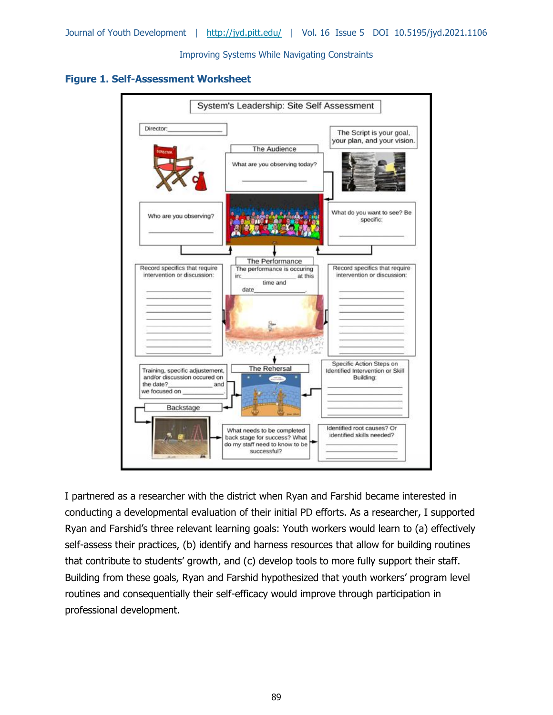**Figure 1. Self-Assessment Worksheet**



I partnered as a researcher with the district when Ryan and Farshid became interested in conducting a developmental evaluation of their initial PD efforts. As a researcher, I supported Ryan and Farshid's three relevant learning goals: Youth workers would learn to (a) effectively self-assess their practices, (b) identify and harness resources that allow for building routines that contribute to students' growth, and (c) develop tools to more fully support their staff. Building from these goals, Ryan and Farshid hypothesized that youth workers' program level routines and consequentially their self-efficacy would improve through participation in professional development.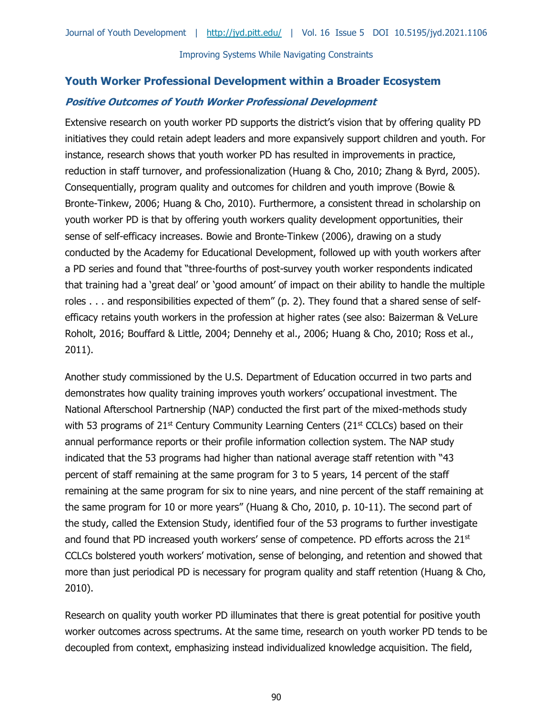# **Youth Worker Professional Development within a Broader Ecosystem Positive Outcomes of Youth Worker Professional Development**

Extensive research on youth worker PD supports the district's vision that by offering quality PD initiatives they could retain adept leaders and more expansively support children and youth. For instance, research shows that youth worker PD has resulted in improvements in practice, reduction in staff turnover, and professionalization (Huang & Cho, 2010; Zhang & Byrd, 2005). Consequentially, program quality and outcomes for children and youth improve (Bowie & Bronte-Tinkew, 2006; Huang & Cho, 2010). Furthermore, a consistent thread in scholarship on youth worker PD is that by offering youth workers quality development opportunities, their sense of self-efficacy increases. Bowie and Bronte-Tinkew (2006), drawing on a study conducted by the Academy for Educational Development, followed up with youth workers after a PD series and found that "three-fourths of post-survey youth worker respondents indicated that training had a 'great deal' or 'good amount' of impact on their ability to handle the multiple roles . . . and responsibilities expected of them" (p. 2). They found that a shared sense of selfefficacy retains youth workers in the profession at higher rates (see also: Baizerman & VeLure Roholt, 2016; Bouffard & Little, 2004; Dennehy et al., 2006; Huang & Cho, 2010; Ross et al., 2011).

Another study commissioned by the U.S. Department of Education occurred in two parts and demonstrates how quality training improves youth workers' occupational investment. The National Afterschool Partnership (NAP) conducted the first part of the mixed-methods study with 53 programs of  $21^{st}$  Century Community Learning Centers ( $21^{st}$  CCLCs) based on their annual performance reports or their profile information collection system. The NAP study indicated that the 53 programs had higher than national average staff retention with "43 percent of staff remaining at the same program for 3 to 5 years, 14 percent of the staff remaining at the same program for six to nine years, and nine percent of the staff remaining at the same program for 10 or more years" (Huang & Cho, 2010, p. 10-11). The second part of the study, called the Extension Study, identified four of the 53 programs to further investigate and found that PD increased youth workers' sense of competence. PD efforts across the 21<sup>st</sup> CCLCs bolstered youth workers' motivation, sense of belonging, and retention and showed that more than just periodical PD is necessary for program quality and staff retention (Huang & Cho, 2010).

Research on quality youth worker PD illuminates that there is great potential for positive youth worker outcomes across spectrums. At the same time, research on youth worker PD tends to be decoupled from context, emphasizing instead individualized knowledge acquisition. The field,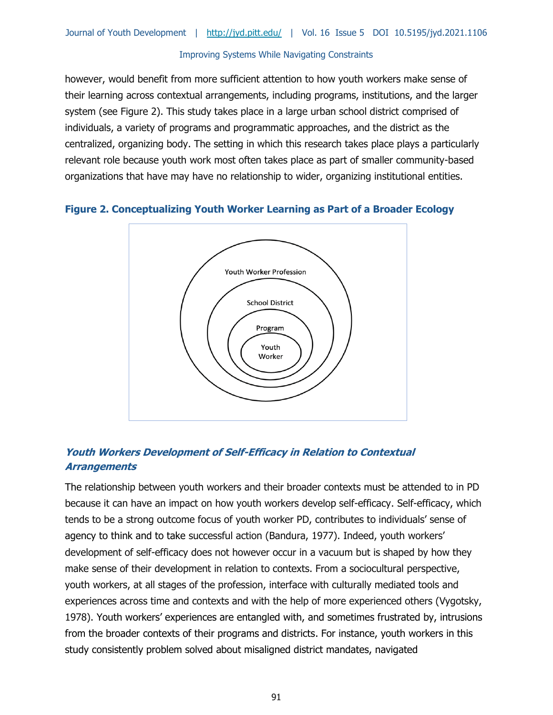however, would benefit from more sufficient attention to how youth workers make sense of their learning across contextual arrangements, including programs, institutions, and the larger system (see Figure 2). This study takes place in a large urban school district comprised of individuals, a variety of programs and programmatic approaches, and the district as the centralized, organizing body. The setting in which this research takes place plays a particularly relevant role because youth work most often takes place as part of smaller community-based organizations that have may have no relationship to wider, organizing institutional entities.

#### **Figure 2. Conceptualizing Youth Worker Learning as Part of a Broader Ecology**



# **Youth Workers Development of Self-Efficacy in Relation to Contextual Arrangements**

The relationship between youth workers and their broader contexts must be attended to in PD because it can have an impact on how youth workers develop self-efficacy. Self-efficacy, which tends to be a strong outcome focus of youth worker PD, contributes to individuals' sense of agency to think and to take successful action (Bandura, 1977). Indeed, youth workers' development of self-efficacy does not however occur in a vacuum but is shaped by how they make sense of their development in relation to contexts. From a sociocultural perspective, youth workers, at all stages of the profession, interface with culturally mediated tools and experiences across time and contexts and with the help of more experienced others (Vygotsky, 1978). Youth workers' experiences are entangled with, and sometimes frustrated by, intrusions from the broader contexts of their programs and districts. For instance, youth workers in this study consistently problem solved about misaligned district mandates, navigated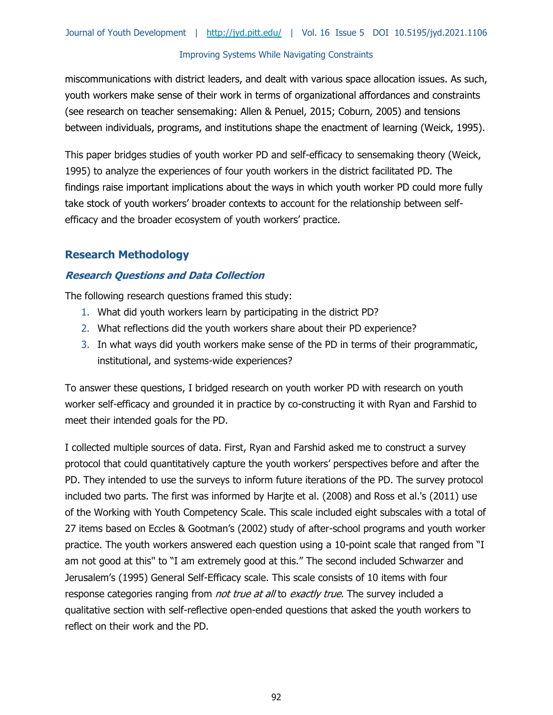miscommunications with district leaders, and dealt with various space allocation issues. As such, youth workers make sense of their work in terms of organizational affordances and constraints (see research on teacher sensemaking: Allen & Penuel, 2015; Coburn, 2005) and tensions between individuals, programs, and institutions shape the enactment of learning (Weick, 1995).

This paper bridges studies of youth worker PD and self-efficacy to sensemaking theory (Weick, 1995) to analyze the experiences of four youth workers in the district facilitated PD. The findings raise important implications about the ways in which youth worker PD could more fully take stock of youth workers' broader contexts to account for the relationship between selfefficacy and the broader ecosystem of youth workers' practice.

# **Research Methodology**

# **Research Questions and Data Collection**

The following research questions framed this study:

- 1. What did youth workers learn by participating in the district PD?
- 2. What reflections did the youth workers share about their PD experience?
- 3. In what ways did youth workers make sense of the PD in terms of their programmatic, institutional, and systems-wide experiences?

To answer these questions, I bridged research on youth worker PD with research on youth worker self-efficacy and grounded it in practice by co-constructing it with Ryan and Farshid to meet their intended goals for the PD.

I collected multiple sources of data. First, Ryan and Farshid asked me to construct a survey protocol that could quantitatively capture the youth workers' perspectives before and after the PD. They intended to use the surveys to inform future iterations of the PD. The survey protocol included two parts. The first was informed by Harjte et al. (2008) and Ross et al.'s (2011) use of the Working with Youth Competency Scale. This scale included eight subscales with a total of 27 items based on Eccles & Gootman's (2002) study of after-school programs and youth worker practice. The youth workers answered each question using a 10-point scale that ranged from "I am not good at this'' to "I am extremely good at this." The second included Schwarzer and Jerusalem's (1995) General Self-Efficacy scale. This scale consists of 10 items with four response categories ranging from *not true at all* to *exactly true*. The survey included a qualitative section with self-reflective open-ended questions that asked the youth workers to reflect on their work and the PD.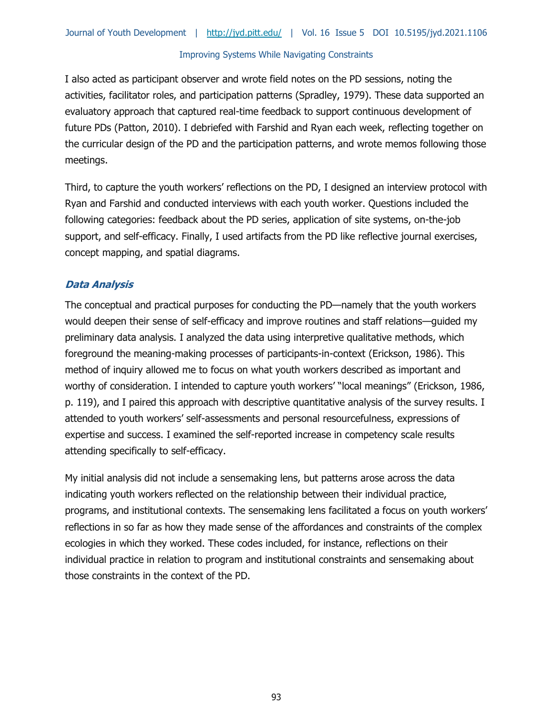I also acted as participant observer and wrote field notes on the PD sessions, noting the activities, facilitator roles, and participation patterns (Spradley, 1979). These data supported an evaluatory approach that captured real-time feedback to support continuous development of future PDs (Patton, 2010). I debriefed with Farshid and Ryan each week, reflecting together on the curricular design of the PD and the participation patterns, and wrote memos following those meetings.

Third, to capture the youth workers' reflections on the PD, I designed an interview protocol with Ryan and Farshid and conducted interviews with each youth worker. Questions included the following categories: feedback about the PD series, application of site systems, on-the-job support, and self-efficacy. Finally, I used artifacts from the PD like reflective journal exercises, concept mapping, and spatial diagrams.

# **Data Analysis**

The conceptual and practical purposes for conducting the PD—namely that the youth workers would deepen their sense of self-efficacy and improve routines and staff relations—guided my preliminary data analysis. I analyzed the data using interpretive qualitative methods, which foreground the meaning-making processes of participants-in-context (Erickson, 1986). This method of inquiry allowed me to focus on what youth workers described as important and worthy of consideration. I intended to capture youth workers' "local meanings" (Erickson, 1986, p. 119), and I paired this approach with descriptive quantitative analysis of the survey results. I attended to youth workers' self-assessments and personal resourcefulness, expressions of expertise and success. I examined the self-reported increase in competency scale results attending specifically to self-efficacy.

My initial analysis did not include a sensemaking lens, but patterns arose across the data indicating youth workers reflected on the relationship between their individual practice, programs, and institutional contexts. The sensemaking lens facilitated a focus on youth workers' reflections in so far as how they made sense of the affordances and constraints of the complex ecologies in which they worked. These codes included, for instance, reflections on their individual practice in relation to program and institutional constraints and sensemaking about those constraints in the context of the PD.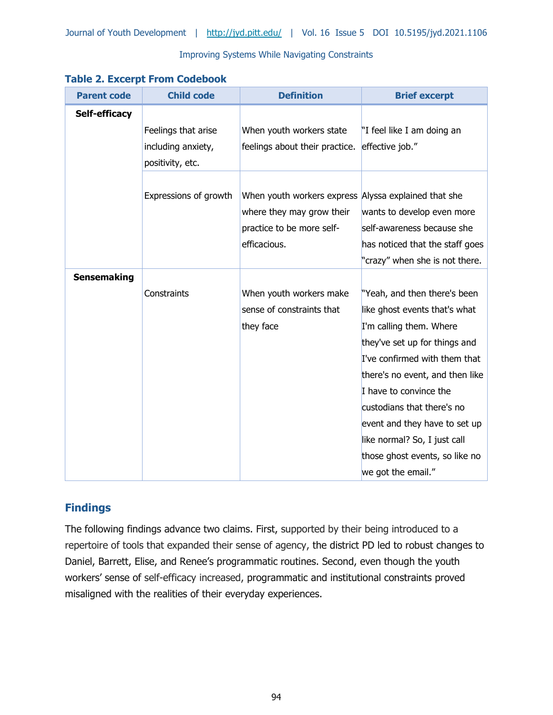| <b>Parent code</b>   | <b>Child code</b>     | <b>Definition</b>                                    | <b>Brief excerpt</b>            |
|----------------------|-----------------------|------------------------------------------------------|---------------------------------|
| <b>Self-efficacy</b> |                       |                                                      |                                 |
|                      | Feelings that arise   | When youth workers state                             | "I feel like I am doing an      |
|                      | including anxiety,    | feelings about their practice.                       | effective job."                 |
|                      | positivity, etc.      |                                                      |                                 |
|                      |                       |                                                      |                                 |
|                      | Expressions of growth | When youth workers express Alyssa explained that she |                                 |
|                      |                       | where they may grow their                            | wants to develop even more      |
|                      |                       | practice to be more self-                            | self-awareness because she      |
|                      |                       | efficacious.                                         | has noticed that the staff goes |
|                      |                       |                                                      | "crazy" when she is not there.  |
| <b>Sensemaking</b>   |                       |                                                      |                                 |
|                      | Constraints           | When youth workers make                              | "Yeah, and then there's been    |
|                      |                       | sense of constraints that                            | like ghost events that's what   |
|                      |                       | they face                                            | I'm calling them. Where         |
|                      |                       |                                                      | they've set up for things and   |
|                      |                       |                                                      | I've confirmed with them that   |
|                      |                       |                                                      | there's no event, and then like |
|                      |                       |                                                      | I have to convince the          |
|                      |                       |                                                      | custodians that there's no      |
|                      |                       |                                                      | event and they have to set up   |
|                      |                       |                                                      | like normal? So, I just call    |
|                      |                       |                                                      | those ghost events, so like no  |
|                      |                       |                                                      | we got the email."              |

# **Findings**

The following findings advance two claims. First, supported by their being introduced to a repertoire of tools that expanded their sense of agency, the district PD led to robust changes to Daniel, Barrett, Elise, and Renee's programmatic routines. Second, even though the youth workers' sense of self-efficacy increased, programmatic and institutional constraints proved misaligned with the realities of their everyday experiences.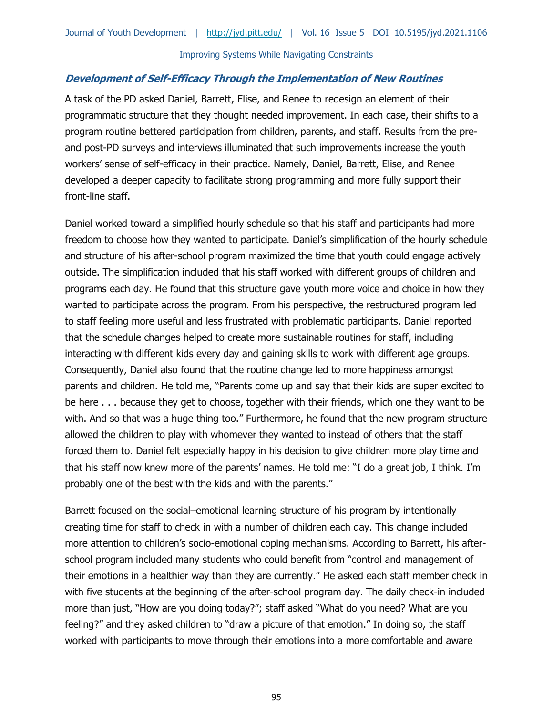#### **Development of Self-Efficacy Through the Implementation of New Routines**

A task of the PD asked Daniel, Barrett, Elise, and Renee to redesign an element of their programmatic structure that they thought needed improvement. In each case, their shifts to a program routine bettered participation from children, parents, and staff. Results from the preand post-PD surveys and interviews illuminated that such improvements increase the youth workers' sense of self-efficacy in their practice. Namely, Daniel, Barrett, Elise, and Renee developed a deeper capacity to facilitate strong programming and more fully support their front-line staff.

Daniel worked toward a simplified hourly schedule so that his staff and participants had more freedom to choose how they wanted to participate. Daniel's simplification of the hourly schedule and structure of his after-school program maximized the time that youth could engage actively outside. The simplification included that his staff worked with different groups of children and programs each day. He found that this structure gave youth more voice and choice in how they wanted to participate across the program. From his perspective, the restructured program led to staff feeling more useful and less frustrated with problematic participants. Daniel reported that the schedule changes helped to create more sustainable routines for staff, including interacting with different kids every day and gaining skills to work with different age groups. Consequently, Daniel also found that the routine change led to more happiness amongst parents and children. He told me, "Parents come up and say that their kids are super excited to be here . . . because they get to choose, together with their friends, which one they want to be with. And so that was a huge thing too." Furthermore, he found that the new program structure allowed the children to play with whomever they wanted to instead of others that the staff forced them to. Daniel felt especially happy in his decision to give children more play time and that his staff now knew more of the parents' names. He told me: "I do a great job, I think. I'm probably one of the best with the kids and with the parents."

Barrett focused on the social–emotional learning structure of his program by intentionally creating time for staff to check in with a number of children each day. This change included more attention to children's socio-emotional coping mechanisms. According to Barrett, his afterschool program included many students who could benefit from "control and management of their emotions in a healthier way than they are currently." He asked each staff member check in with five students at the beginning of the after-school program day. The daily check-in included more than just, "How are you doing today?"; staff asked "What do you need? What are you feeling?" and they asked children to "draw a picture of that emotion." In doing so, the staff worked with participants to move through their emotions into a more comfortable and aware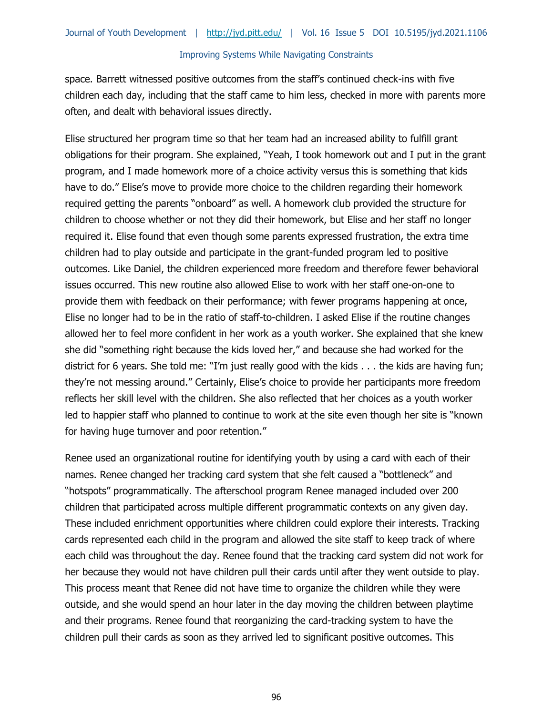space. Barrett witnessed positive outcomes from the staff's continued check-ins with five children each day, including that the staff came to him less, checked in more with parents more often, and dealt with behavioral issues directly.

Elise structured her program time so that her team had an increased ability to fulfill grant obligations for their program. She explained, "Yeah, I took homework out and I put in the grant program, and I made homework more of a choice activity versus this is something that kids have to do." Elise's move to provide more choice to the children regarding their homework required getting the parents "onboard" as well. A homework club provided the structure for children to choose whether or not they did their homework, but Elise and her staff no longer required it. Elise found that even though some parents expressed frustration, the extra time children had to play outside and participate in the grant-funded program led to positive outcomes. Like Daniel, the children experienced more freedom and therefore fewer behavioral issues occurred. This new routine also allowed Elise to work with her staff one-on-one to provide them with feedback on their performance; with fewer programs happening at once, Elise no longer had to be in the ratio of staff-to-children. I asked Elise if the routine changes allowed her to feel more confident in her work as a youth worker. She explained that she knew she did "something right because the kids loved her," and because she had worked for the district for 6 years. She told me: "I'm just really good with the kids . . . the kids are having fun; they're not messing around." Certainly, Elise's choice to provide her participants more freedom reflects her skill level with the children. She also reflected that her choices as a youth worker led to happier staff who planned to continue to work at the site even though her site is "known for having huge turnover and poor retention."

Renee used an organizational routine for identifying youth by using a card with each of their names. Renee changed her tracking card system that she felt caused a "bottleneck" and "hotspots" programmatically. The afterschool program Renee managed included over 200 children that participated across multiple different programmatic contexts on any given day. These included enrichment opportunities where children could explore their interests. Tracking cards represented each child in the program and allowed the site staff to keep track of where each child was throughout the day. Renee found that the tracking card system did not work for her because they would not have children pull their cards until after they went outside to play. This process meant that Renee did not have time to organize the children while they were outside, and she would spend an hour later in the day moving the children between playtime and their programs. Renee found that reorganizing the card-tracking system to have the children pull their cards as soon as they arrived led to significant positive outcomes. This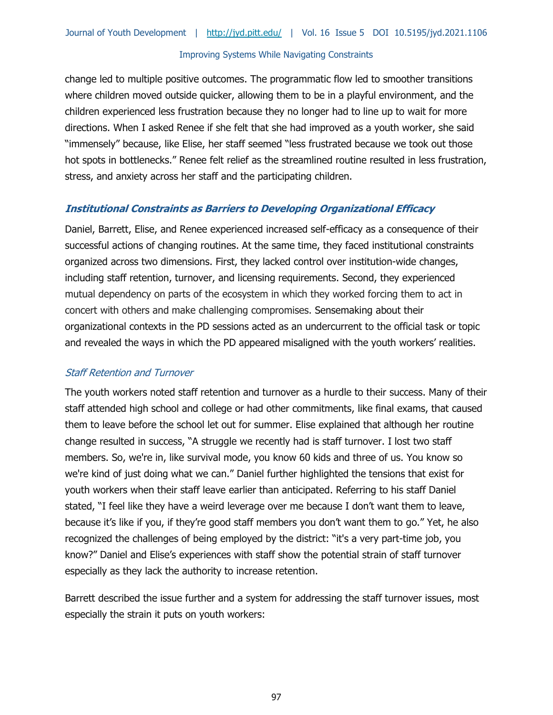change led to multiple positive outcomes. The programmatic flow led to smoother transitions where children moved outside quicker, allowing them to be in a playful environment, and the children experienced less frustration because they no longer had to line up to wait for more directions. When I asked Renee if she felt that she had improved as a youth worker, she said "immensely" because, like Elise, her staff seemed "less frustrated because we took out those hot spots in bottlenecks." Renee felt relief as the streamlined routine resulted in less frustration, stress, and anxiety across her staff and the participating children.

# **Institutional Constraints as Barriers to Developing Organizational Efficacy**

Daniel, Barrett, Elise, and Renee experienced increased self-efficacy as a consequence of their successful actions of changing routines. At the same time, they faced institutional constraints organized across two dimensions. First, they lacked control over institution-wide changes, including staff retention, turnover, and licensing requirements. Second, they experienced mutual dependency on parts of the ecosystem in which they worked forcing them to act in concert with others and make challenging compromises. Sensemaking about their organizational contexts in the PD sessions acted as an undercurrent to the official task or topic and revealed the ways in which the PD appeared misaligned with the youth workers' realities.

#### Staff Retention and Turnover

The youth workers noted staff retention and turnover as a hurdle to their success. Many of their staff attended high school and college or had other commitments, like final exams, that caused them to leave before the school let out for summer. Elise explained that although her routine change resulted in success, "A struggle we recently had is staff turnover. I lost two staff members. So, we're in, like survival mode, you know 60 kids and three of us. You know so we're kind of just doing what we can." Daniel further highlighted the tensions that exist for youth workers when their staff leave earlier than anticipated. Referring to his staff Daniel stated, "I feel like they have a weird leverage over me because I don't want them to leave, because it's like if you, if they're good staff members you don't want them to go." Yet, he also recognized the challenges of being employed by the district: "it's a very part-time job, you know?" Daniel and Elise's experiences with staff show the potential strain of staff turnover especially as they lack the authority to increase retention.

Barrett described the issue further and a system for addressing the staff turnover issues, most especially the strain it puts on youth workers: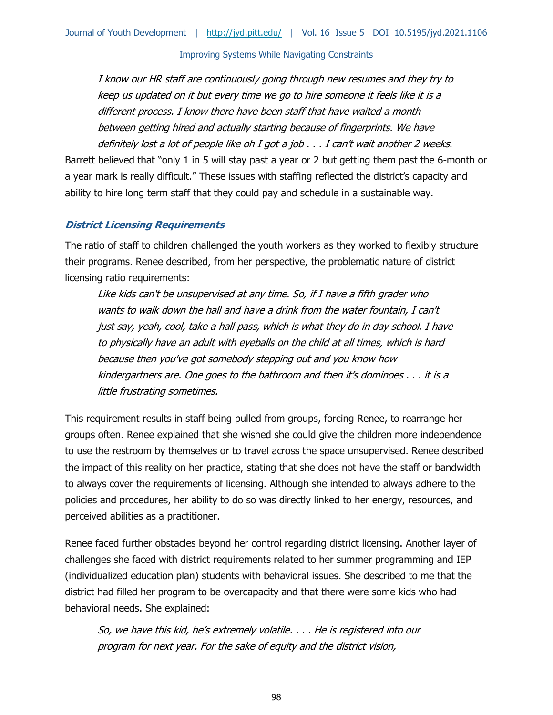I know our HR staff are continuously going through new resumes and they try to keep us updated on it but every time we go to hire someone it feels like it is a different process. I know there have been staff that have waited a month between getting hired and actually starting because of fingerprints. We have definitely lost a lot of people like oh I got a job . . . I can't wait another 2 weeks.

Barrett believed that "only 1 in 5 will stay past a year or 2 but getting them past the 6-month or a year mark is really difficult." These issues with staffing reflected the district's capacity and ability to hire long term staff that they could pay and schedule in a sustainable way.

#### **District Licensing Requirements**

The ratio of staff to children challenged the youth workers as they worked to flexibly structure their programs. Renee described, from her perspective, the problematic nature of district licensing ratio requirements:

Like kids can't be unsupervised at any time. So, if I have a fifth grader who wants to walk down the hall and have a drink from the water fountain, I can't just say, yeah, cool, take a hall pass, which is what they do in day school. I have to physically have an adult with eyeballs on the child at all times, which is hard because then you've got somebody stepping out and you know how kindergartners are. One goes to the bathroom and then it's dominoes  $\ldots$  it is a little frustrating sometimes.

This requirement results in staff being pulled from groups, forcing Renee, to rearrange her groups often. Renee explained that she wished she could give the children more independence to use the restroom by themselves or to travel across the space unsupervised. Renee described the impact of this reality on her practice, stating that she does not have the staff or bandwidth to always cover the requirements of licensing. Although she intended to always adhere to the policies and procedures, her ability to do so was directly linked to her energy, resources, and perceived abilities as a practitioner.

Renee faced further obstacles beyond her control regarding district licensing. Another layer of challenges she faced with district requirements related to her summer programming and IEP (individualized education plan) students with behavioral issues. She described to me that the district had filled her program to be overcapacity and that there were some kids who had behavioral needs. She explained:

So, we have this kid, he's extremely volatile. . . . He is registered into our program for next year. For the sake of equity and the district vision,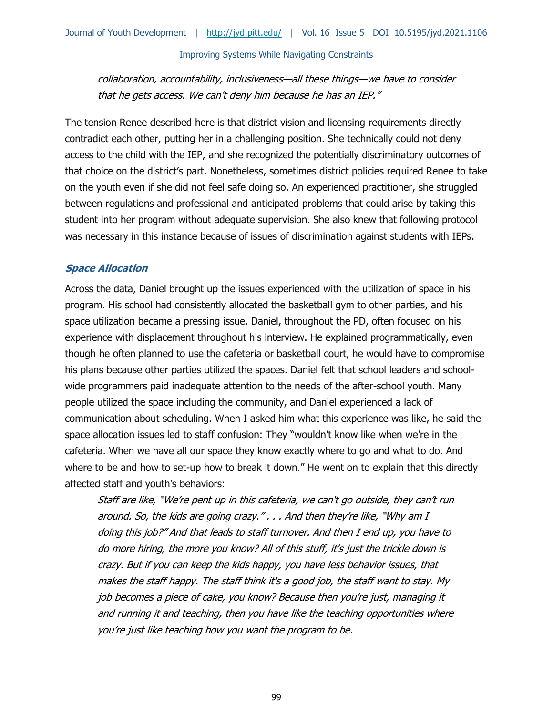collaboration, accountability, inclusiveness—all these things—we have to consider that he gets access. We can't deny him because he has an IEP."

The tension Renee described here is that district vision and licensing requirements directly contradict each other, putting her in a challenging position. She technically could not deny access to the child with the IEP, and she recognized the potentially discriminatory outcomes of that choice on the district's part. Nonetheless, sometimes district policies required Renee to take on the youth even if she did not feel safe doing so. An experienced practitioner, she struggled between regulations and professional and anticipated problems that could arise by taking this student into her program without adequate supervision. She also knew that following protocol was necessary in this instance because of issues of discrimination against students with IEPs.

#### **Space Allocation**

Across the data, Daniel brought up the issues experienced with the utilization of space in his program. His school had consistently allocated the basketball gym to other parties, and his space utilization became a pressing issue. Daniel, throughout the PD, often focused on his experience with displacement throughout his interview. He explained programmatically, even though he often planned to use the cafeteria or basketball court, he would have to compromise his plans because other parties utilized the spaces. Daniel felt that school leaders and schoolwide programmers paid inadequate attention to the needs of the after-school youth. Many people utilized the space including the community, and Daniel experienced a lack of communication about scheduling. When I asked him what this experience was like, he said the space allocation issues led to staff confusion: They "wouldn't know like when we're in the cafeteria. When we have all our space they know exactly where to go and what to do. And where to be and how to set-up how to break it down." He went on to explain that this directly affected staff and youth's behaviors:

Staff are like, "We're pent up in this cafeteria, we can't go outside, they can't run around. So, the kids are going crazy." . . . And then they're like, "Why am I doing this job?" And that leads to staff turnover. And then I end up, you have to do more hiring, the more you know? All of this stuff, it's just the trickle down is crazy. But if you can keep the kids happy, you have less behavior issues, that makes the staff happy. The staff think it's a good job, the staff want to stay. My job becomes a piece of cake, you know? Because then you're just, managing it and running it and teaching, then you have like the teaching opportunities where you're just like teaching how you want the program to be.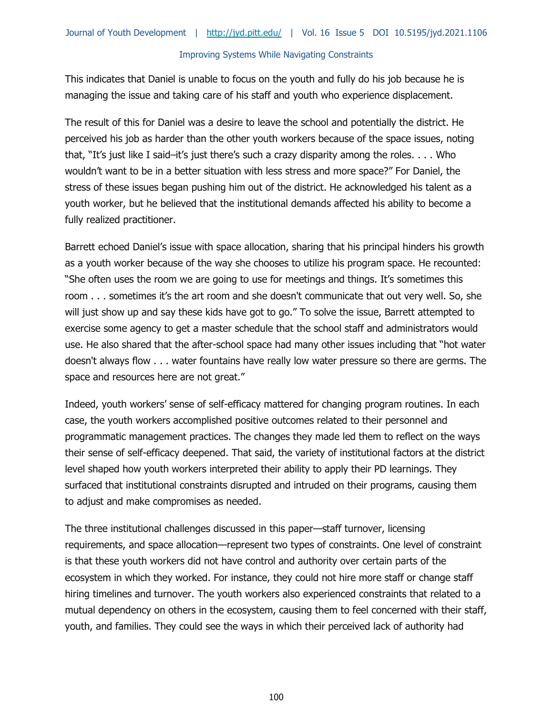This indicates that Daniel is unable to focus on the youth and fully do his job because he is managing the issue and taking care of his staff and youth who experience displacement.

The result of this for Daniel was a desire to leave the school and potentially the district. He perceived his job as harder than the other youth workers because of the space issues, noting that, "It's just like I said–it's just there's such a crazy disparity among the roles. . . . Who wouldn't want to be in a better situation with less stress and more space?" For Daniel, the stress of these issues began pushing him out of the district. He acknowledged his talent as a youth worker, but he believed that the institutional demands affected his ability to become a fully realized practitioner.

Barrett echoed Daniel's issue with space allocation, sharing that his principal hinders his growth as a youth worker because of the way she chooses to utilize his program space. He recounted: "She often uses the room we are going to use for meetings and things. It's sometimes this room . . . sometimes it's the art room and she doesn't communicate that out very well. So, she will just show up and say these kids have got to go." To solve the issue, Barrett attempted to exercise some agency to get a master schedule that the school staff and administrators would use. He also shared that the after-school space had many other issues including that "hot water doesn't always flow . . . water fountains have really low water pressure so there are germs. The space and resources here are not great."

Indeed, youth workers' sense of self-efficacy mattered for changing program routines. In each case, the youth workers accomplished positive outcomes related to their personnel and programmatic management practices. The changes they made led them to reflect on the ways their sense of self-efficacy deepened. That said, the variety of institutional factors at the district level shaped how youth workers interpreted their ability to apply their PD learnings. They surfaced that institutional constraints disrupted and intruded on their programs, causing them to adjust and make compromises as needed.

The three institutional challenges discussed in this paper—staff turnover, licensing requirements, and space allocation—represent two types of constraints. One level of constraint is that these youth workers did not have control and authority over certain parts of the ecosystem in which they worked. For instance, they could not hire more staff or change staff hiring timelines and turnover. The youth workers also experienced constraints that related to a mutual dependency on others in the ecosystem, causing them to feel concerned with their staff, youth, and families. They could see the ways in which their perceived lack of authority had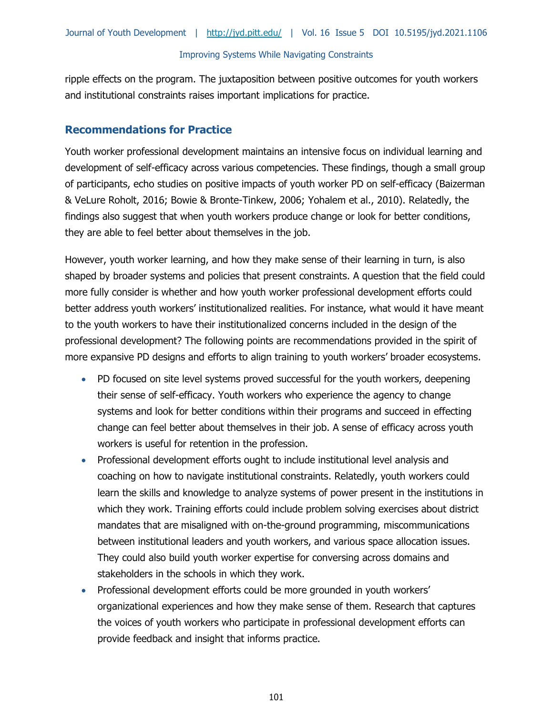ripple effects on the program. The juxtaposition between positive outcomes for youth workers and institutional constraints raises important implications for practice.

# **Recommendations for Practice**

Youth worker professional development maintains an intensive focus on individual learning and development of self-efficacy across various competencies. These findings, though a small group of participants, echo studies on positive impacts of youth worker PD on self-efficacy (Baizerman & VeLure Roholt, 2016; Bowie & Bronte-Tinkew, 2006; Yohalem et al., 2010). Relatedly, the findings also suggest that when youth workers produce change or look for better conditions, they are able to feel better about themselves in the job.

However, youth worker learning, and how they make sense of their learning in turn, is also shaped by broader systems and policies that present constraints. A question that the field could more fully consider is whether and how youth worker professional development efforts could better address youth workers' institutionalized realities. For instance, what would it have meant to the youth workers to have their institutionalized concerns included in the design of the professional development? The following points are recommendations provided in the spirit of more expansive PD designs and efforts to align training to youth workers' broader ecosystems.

- PD focused on site level systems proved successful for the youth workers, deepening their sense of self-efficacy. Youth workers who experience the agency to change systems and look for better conditions within their programs and succeed in effecting change can feel better about themselves in their job. A sense of efficacy across youth workers is useful for retention in the profession.
- Professional development efforts ought to include institutional level analysis and coaching on how to navigate institutional constraints. Relatedly, youth workers could learn the skills and knowledge to analyze systems of power present in the institutions in which they work. Training efforts could include problem solving exercises about district mandates that are misaligned with on-the-ground programming, miscommunications between institutional leaders and youth workers, and various space allocation issues. They could also build youth worker expertise for conversing across domains and stakeholders in the schools in which they work.
- Professional development efforts could be more grounded in youth workers' organizational experiences and how they make sense of them. Research that captures the voices of youth workers who participate in professional development efforts can provide feedback and insight that informs practice.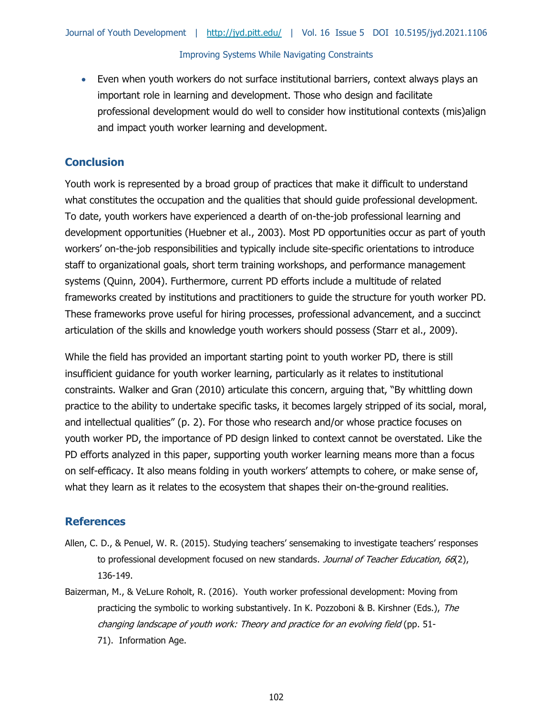• Even when youth workers do not surface institutional barriers, context always plays an important role in learning and development. Those who design and facilitate professional development would do well to consider how institutional contexts (mis)align and impact youth worker learning and development.

# **Conclusion**

Youth work is represented by a broad group of practices that make it difficult to understand what constitutes the occupation and the qualities that should guide professional development. To date, youth workers have experienced a dearth of on-the-job professional learning and development opportunities (Huebner et al., 2003). Most PD opportunities occur as part of youth workers' on-the-job responsibilities and typically include site-specific orientations to introduce staff to organizational goals, short term training workshops, and performance management systems (Quinn, 2004). Furthermore, current PD efforts include a multitude of related frameworks created by institutions and practitioners to guide the structure for youth worker PD. These frameworks prove useful for hiring processes, professional advancement, and a succinct articulation of the skills and knowledge youth workers should possess (Starr et al., 2009).

While the field has provided an important starting point to youth worker PD, there is still insufficient guidance for youth worker learning, particularly as it relates to institutional constraints. Walker and Gran (2010) articulate this concern, arguing that, "By whittling down practice to the ability to undertake specific tasks, it becomes largely stripped of its social, moral, and intellectual qualities" (p. 2). For those who research and/or whose practice focuses on youth worker PD, the importance of PD design linked to context cannot be overstated. Like the PD efforts analyzed in this paper, supporting youth worker learning means more than a focus on self-efficacy. It also means folding in youth workers' attempts to cohere, or make sense of, what they learn as it relates to the ecosystem that shapes their on-the-ground realities.

# **References**

- Allen, C. D., & Penuel, W. R. (2015). Studying teachers' sensemaking to investigate teachers' responses to professional development focused on new standards. Journal of Teacher Education, 66(2), 136-149.
- Baizerman, M., & VeLure Roholt, R. (2016). Youth worker professional development: Moving from practicing the symbolic to working substantively. In K. Pozzoboni & B. Kirshner (Eds.), The changing landscape of youth work: Theory and practice for an evolving field (pp. 51- 71). Information Age.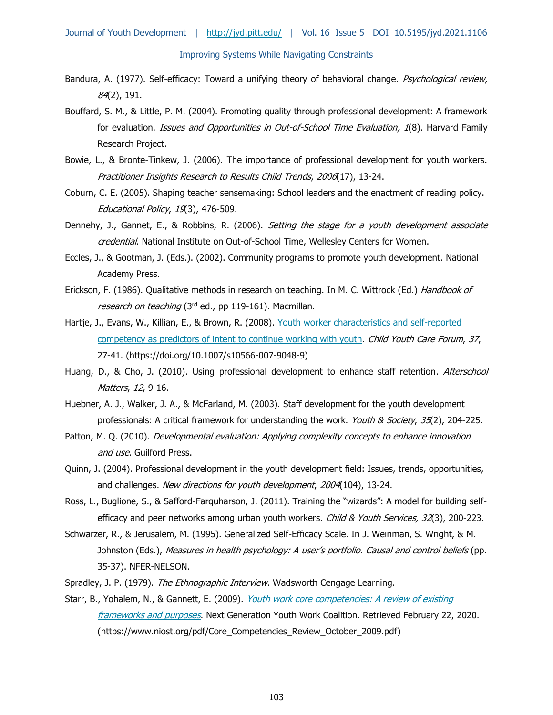- Bandura, A. (1977). Self-efficacy: Toward a unifying theory of behavioral change. Psychological review, 84(2), 191.
- Bouffard, S. M., & Little, P. M. (2004). Promoting quality through professional development: A framework for evaluation. *Issues and Opportunities in Out-of-School Time Evaluation, 1*(8). Harvard Family Research Project.
- Bowie, L., & Bronte-Tinkew, J. (2006). The importance of professional development for youth workers. Practitioner Insights Research to Results Child Trends, 2006(17), 13-24.
- Coburn, C. E. (2005). Shaping teacher sensemaking: School leaders and the enactment of reading policy. Educational Policy, 19(3), 476-509.
- Dennehy, J., Gannet, E., & Robbins, R. (2006). Setting the stage for a youth development associate credential. National Institute on Out-of-School Time, Wellesley Centers for Women.
- Eccles, J., & Gootman, J. (Eds.). (2002). Community programs to promote youth development. National Academy Press.
- Erickson, F. (1986). Qualitative methods in research on teaching. In M. C. Wittrock (Ed.) Handbook of research on teaching (3rd ed., pp 119-161). Macmillan.
- Hartje, J., Evans, W., Killian, E., & Brown, R. (2008). Youth worker characteristics and self-reported [competency as predictors of intent to continue working with youth.](https://doi.org/10.1007/s10566-007-9048-9) Child Youth Care Forum, 37, 27-41. (https://doi.org/10.1007/s10566-007-9048-9)
- Huang, D., & Cho, J. (2010). Using professional development to enhance staff retention. Afterschool Matters, 12, 9-16.
- Huebner, A. J., Walker, J. A., & McFarland, M. (2003). Staff development for the youth development professionals: A critical framework for understanding the work. Youth & Society, 35(2), 204-225.
- Patton, M. Q. (2010). *Developmental evaluation: Applying complexity concepts to enhance innovation* and use. Guilford Press.
- Quinn, J. (2004). Professional development in the youth development field: Issues, trends, opportunities, and challenges. New directions for youth development, 2004(104), 13-24.
- Ross, L., Buglione, S., & Safford-Farquharson, J. (2011). Training the "wizards": A model for building selfefficacy and peer networks among urban youth workers. Child & Youth Services, 32(3), 200-223.
- Schwarzer, R., & Jerusalem, M. (1995). Generalized Self-Efficacy Scale. In J. Weinman, S. Wright, & M. Johnston (Eds.), Measures in health psychology: A user's portfolio. Causal and control beliefs (pp. 35-37). NFER-NELSON.
- Spradley, J. P. (1979). The Ethnographic Interview. Wadsworth Cengage Learning.
- Starr, B., Yohalem, N., & Gannett, E. (2009). *Youth work core competencies: A review of existing* [frameworks and purposes](https://www.niost.org/pdf/Core_Competencies_Review_October_2009.pdf). Next Generation Youth Work Coalition. Retrieved February 22, 2020. (https://www.niost.org/pdf/Core\_Competencies\_Review\_October\_2009.pdf)